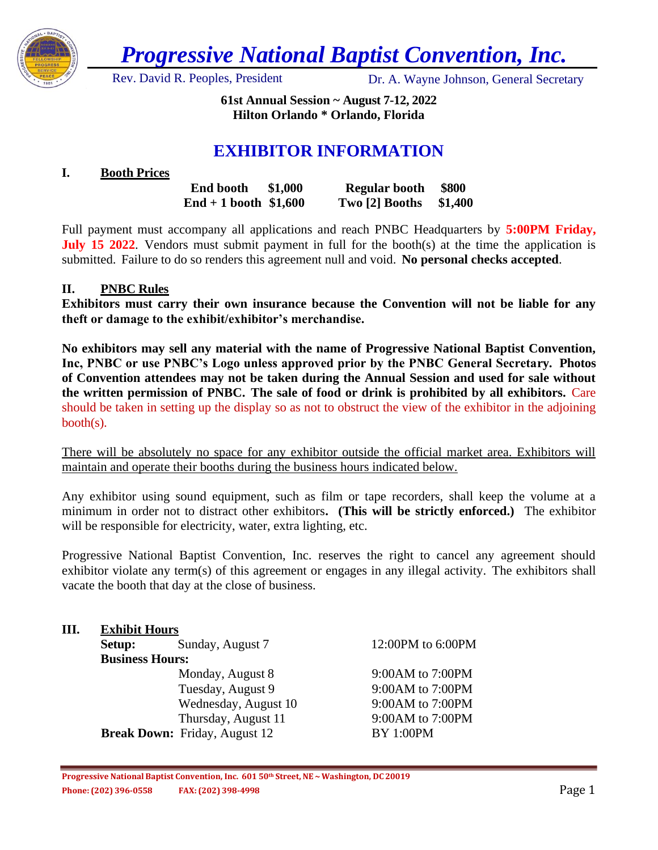

*Progressive National Baptist Convention, Inc.*

Rev. David R. Peoples, President Dr. A. Wayne Johnson, General Secretary

**61st Annual Session ~ August 7-12, 2022 Hilton Orlando \* Orlando, Florida**

# **EXHIBITOR INFORMATION**

# **I. Booth Prices**

| <b>End booth</b>        | \$1,000 | <b>Regular booth</b> | <b>\$800</b> |
|-------------------------|---------|----------------------|--------------|
| $End + 1$ booth \$1,600 |         | Two [2] Booths       | \$1,400      |

Full payment must accompany all applications and reach PNBC Headquarters by **5:00PM Friday, July 15 2022.** Vendors must submit payment in full for the booth(s) at the time the application is submitted. Failure to do so renders this agreement null and void. **No personal checks accepted**.

# **II. PNBC Rules**

**Exhibitors must carry their own insurance because the Convention will not be liable for any theft or damage to the exhibit/exhibitor's merchandise.**

**No exhibitors may sell any material with the name of Progressive National Baptist Convention, Inc, PNBC or use PNBC's Logo unless approved prior by the PNBC General Secretary. Photos of Convention attendees may not be taken during the Annual Session and used for sale without the written permission of PNBC. The sale of food or drink is prohibited by all exhibitors.** Care should be taken in setting up the display so as not to obstruct the view of the exhibitor in the adjoining booth(s).

There will be absolutely no space for any exhibitor outside the official market area. Exhibitors will maintain and operate their booths during the business hours indicated below.

Any exhibitor using sound equipment, such as film or tape recorders, shall keep the volume at a minimum in order not to distract other exhibitors**. (This will be strictly enforced.)** The exhibitor will be responsible for electricity, water, extra lighting, etc.

Progressive National Baptist Convention, Inc. reserves the right to cancel any agreement should exhibitor violate any term(s) of this agreement or engages in any illegal activity. The exhibitors shall vacate the booth that day at the close of business.

# **III. Exhibit Hours Setup:** Sunday, August 7 12:00PM to 6:00PM **Business Hours:** Monday, August 8 9:00AM to 7:00PM Tuesday, August 9 9:00 AM to 7:00 PM Wednesday, August 10 9:00 AM to 7:00 PM Thursday, August 11 9:00AM to 7:00PM **Break Down:** Friday, August 12 BY 1:00PM